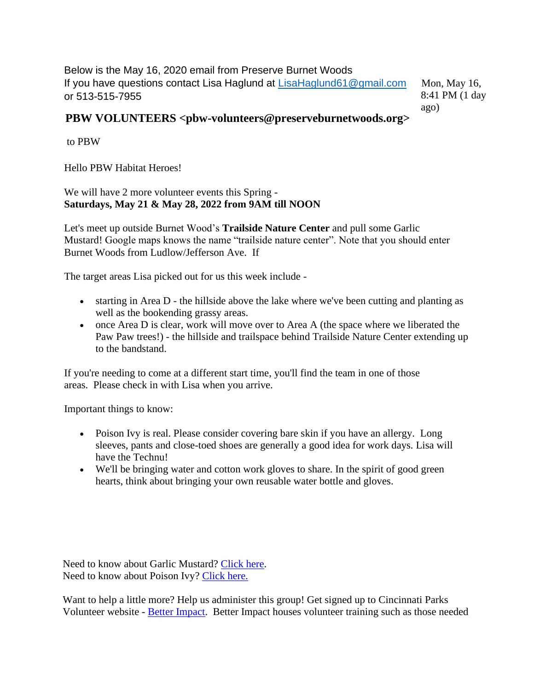Below is the May 16, 2020 email from Preserve Burnet Woods If you have questions contact Lisa Haglund at [LisaHaglund61@gmail.com](mailto:LisaHaglund61@gmail.com) or 513-515-7955

Mon, May 16, 8:41 PM (1 day ago)

## **PBW VOLUNTEERS <pbw-volunteers@preserveburnetwoods.org>**

to PBW

Hello PBW Habitat Heroes!

We will have 2 more volunteer events this Spring -**Saturdays, May 21 & May 28, 2022 from 9AM till NOON**

Let's meet up outside Burnet Wood's **Trailside Nature Center** and pull some Garlic Mustard! Google maps knows the name "trailside nature center". Note that you should enter Burnet Woods from Ludlow/Jefferson Ave. If

The target areas Lisa picked out for us this week include -

- starting in Area D the hillside above the lake where we've been cutting and planting as well as the bookending grassy areas.
- once Area D is clear, work will move over to Area A (the space where we liberated the Paw Paw trees!) - the hillside and trailspace behind Trailside Nature Center extending up to the bandstand.

If you're needing to come at a different start time, you'll find the team in one of those areas. Please check in with Lisa when you arrive.

Important things to know:

- Poison Ivy is real. Please consider covering bare skin if you have an allergy. Long sleeves, pants and close-toed shoes are generally a good idea for work days. Lisa will have the Technu!
- We'll be bringing water and cotton work gloves to share. In the spirit of good green hearts, think about bringing your own reusable water bottle and gloves.

Need to know about Garlic Mustard? [Click here.](https://www.nature.org/en-us/about-us/where-we-work/united-states/indiana/stories-in-indiana/garlic-mustard/) Need to know about Poison Ivy? [Click here.](https://blog.nature.org/science/2018/07/10/poison-ivy-busting-myth-itch/)

Want to help a little more? Help us administer this group! Get signed up to Cincinnati Parks Volunteer website - [Better Impact.](https://app.betterimpact.com/PublicOrganization/3ef7a4d9-44cf-40b9-aa64-6068529691e0/1) Better Impact houses volunteer training such as those needed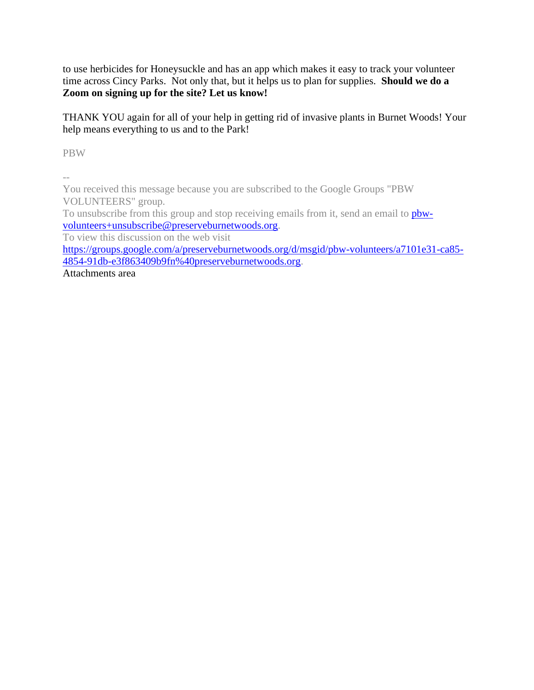to use herbicides for Honeysuckle and has an app which makes it easy to track your volunteer time across Cincy Parks. Not only that, but it helps us to plan for supplies. **Should we do a Zoom on signing up for the site? Let us know!**

THANK YOU again for all of your help in getting rid of invasive plants in Burnet Woods! Your help means everything to us and to the Park!

PBW

--

You received this message because you are subscribed to the Google Groups "PBW VOLUNTEERS" group.

To unsubscribe from this group and stop receiving emails from it, send an email to **pbw**[volunteers+unsubscribe@preserveburnetwoods.org.](mailto:pbw-volunteers+unsubscribe@preserveburnetwoods.org)

To view this discussion on the web visit

[https://groups.google.com/a/preserveburnetwoods.org/d/msgid/pbw-volunteers/a7101e31-ca85-](https://groups.google.com/a/preserveburnetwoods.org/d/msgid/pbw-volunteers/a7101e31-ca85-4854-91db-e3f863409b9fn%40preserveburnetwoods.org?utm_medium=email&utm_source=footer) [4854-91db-e3f863409b9fn%40preserveburnetwoods.org.](https://groups.google.com/a/preserveburnetwoods.org/d/msgid/pbw-volunteers/a7101e31-ca85-4854-91db-e3f863409b9fn%40preserveburnetwoods.org?utm_medium=email&utm_source=footer)

Attachments area